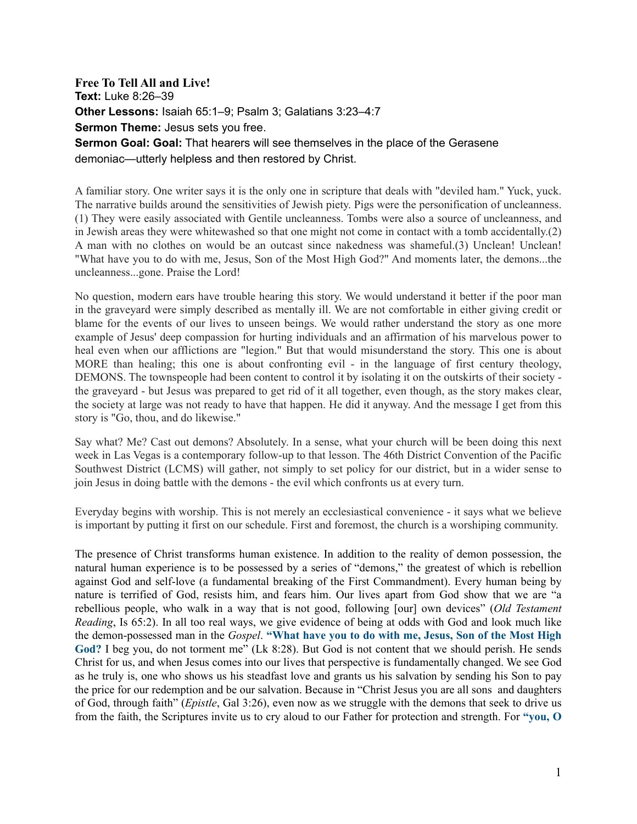**Free To Tell All and Live! Text:** Luke 8:26–39 **Other Lessons:** Isaiah 65:1–9; Psalm 3; Galatians 3:23–4:7 **Sermon Theme: Jesus sets you free. Sermon Goal: Goal:** That hearers will see themselves in the place of the Gerasene demoniac—utterly helpless and then restored by Christ.

A familiar story. One writer says it is the only one in scripture that deals with "deviled ham." Yuck, yuck. The narrative builds around the sensitivities of Jewish piety. Pigs were the personification of uncleanness. (1) They were easily associated with Gentile uncleanness. Tombs were also a source of uncleanness, and in Jewish areas they were whitewashed so that one might not come in contact with a tomb accidentally.(2) A man with no clothes on would be an outcast since nakedness was shameful.(3) Unclean! Unclean! "What have you to do with me, Jesus, Son of the Most High God?" And moments later, the demons...the uncleanness...gone. Praise the Lord!

No question, modern ears have trouble hearing this story. We would understand it better if the poor man in the graveyard were simply described as mentally ill. We are not comfortable in either giving credit or blame for the events of our lives to unseen beings. We would rather understand the story as one more example of Jesus' deep compassion for hurting individuals and an affirmation of his marvelous power to heal even when our afflictions are "legion." But that would misunderstand the story. This one is about MORE than healing; this one is about confronting evil - in the language of first century theology, DEMONS. The townspeople had been content to control it by isolating it on the outskirts of their society the graveyard - but Jesus was prepared to get rid of it all together, even though, as the story makes clear, the society at large was not ready to have that happen. He did it anyway. And the message I get from this story is "Go, thou, and do likewise."

Say what? Me? Cast out demons? Absolutely. In a sense, what your church will be been doing this next week in Las Vegas is a contemporary follow-up to that lesson. The 46th District Convention of the Pacific Southwest District (LCMS) will gather, not simply to set policy for our district, but in a wider sense to join Jesus in doing battle with the demons - the evil which confronts us at every turn.

Everyday begins with worship. This is not merely an ecclesiastical convenience - it says what we believe is important by putting it first on our schedule. First and foremost, the church is a worshiping community.

The presence of Christ transforms human existence. In addition to the reality of demon possession, the natural human experience is to be possessed by a series of "demons," the greatest of which is rebellion against God and self-love (a fundamental breaking of the First Commandment). Every human being by nature is terrified of God, resists him, and fears him. Our lives apart from God show that we are "a rebellious people, who walk in a way that is not good, following [our] own devices" (*Old Testament Reading*, Is 65:2). In all too real ways, we give evidence of being at odds with God and look much like the demon-possessed man in the *Gospel*. **"What have you to do with me, Jesus, Son of the Most High**  God? I beg you, do not torment me" (Lk 8:28). But God is not content that we should perish. He sends Christ for us, and when Jesus comes into our lives that perspective is fundamentally changed. We see God as he truly is, one who shows us his steadfast love and grants us his salvation by sending his Son to pay the price for our redemption and be our salvation. Because in "Christ Jesus you are all sons and daughters of God, through faith" (*Epistle*, Gal 3:26), even now as we struggle with the demons that seek to drive us from the faith, the Scriptures invite us to cry aloud to our Father for protection and strength. For **"you, O**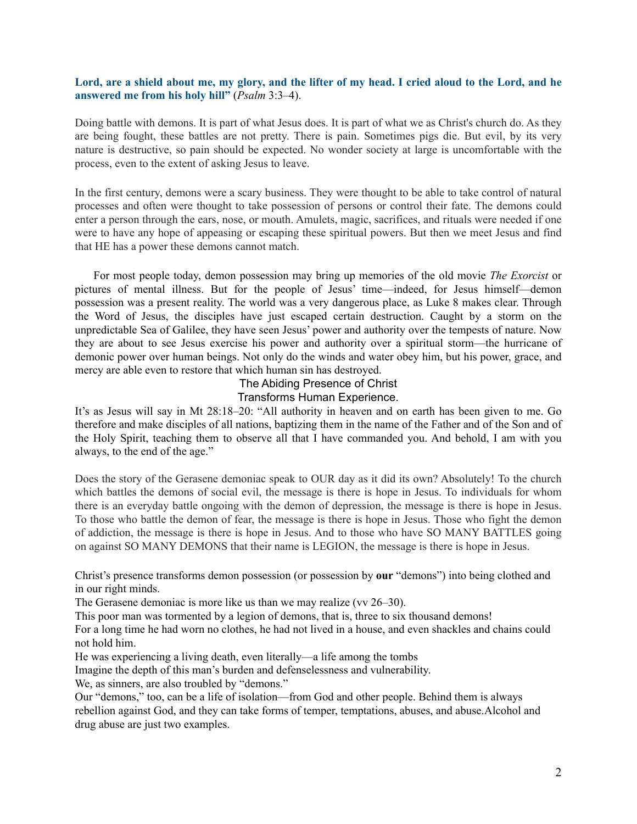## **Lord, are a shield about me, my glory, and the lifter of my head. I cried aloud to the Lord, and he answered me from his holy hill"** (*Psalm* 3:3–4).

Doing battle with demons. It is part of what Jesus does. It is part of what we as Christ's church do. As they are being fought, these battles are not pretty. There is pain. Sometimes pigs die. But evil, by its very nature is destructive, so pain should be expected. No wonder society at large is uncomfortable with the process, even to the extent of asking Jesus to leave.

In the first century, demons were a scary business. They were thought to be able to take control of natural processes and often were thought to take possession of persons or control their fate. The demons could enter a person through the ears, nose, or mouth. Amulets, magic, sacrifices, and rituals were needed if one were to have any hope of appeasing or escaping these spiritual powers. But then we meet Jesus and find that HE has a power these demons cannot match.

For most people today, demon possession may bring up memories of the old movie *The Exorcist* or pictures of mental illness. But for the people of Jesus' time—indeed, for Jesus himself—demon possession was a present reality. The world was a very dangerous place, as Luke 8 makes clear. Through the Word of Jesus, the disciples have just escaped certain destruction. Caught by a storm on the unpredictable Sea of Galilee, they have seen Jesus' power and authority over the tempests of nature. Now they are about to see Jesus exercise his power and authority over a spiritual storm—the hurricane of demonic power over human beings. Not only do the winds and water obey him, but his power, grace, and mercy are able even to restore that which human sin has destroyed.

## The Abiding Presence of Christ Transforms Human Experience.

It's as Jesus will say in Mt 28:18–20: "All authority in heaven and on earth has been given to me. Go therefore and make disciples of all nations, baptizing them in the name of the Father and of the Son and of the Holy Spirit, teaching them to observe all that I have commanded you. And behold, I am with you always, to the end of the age."

Does the story of the Gerasene demoniac speak to OUR day as it did its own? Absolutely! To the church which battles the demons of social evil, the message is there is hope in Jesus. To individuals for whom there is an everyday battle ongoing with the demon of depression, the message is there is hope in Jesus. To those who battle the demon of fear, the message is there is hope in Jesus. Those who fight the demon of addiction, the message is there is hope in Jesus. And to those who have SO MANY BATTLES going on against SO MANY DEMONS that their name is LEGION, the message is there is hope in Jesus.

Christ's presence transforms demon possession (or possession by **our** "demons") into being clothed and in our right minds.

The Gerasene demoniac is more like us than we may realize (vv 26–30).

This poor man was tormented by a legion of demons, that is, three to six thousand demons!

For a long time he had worn no clothes, he had not lived in a house, and even shackles and chains could not hold him.

He was experiencing a living death, even literally—a life among the tombs

Imagine the depth of this man's burden and defenselessness and vulnerability.

We, as sinners, are also troubled by "demons."

Our "demons," too, can be a life of isolation—from God and other people. Behind them is always rebellion against God, and they can take forms of temper, temptations, abuses, and abuse.Alcohol and drug abuse are just two examples.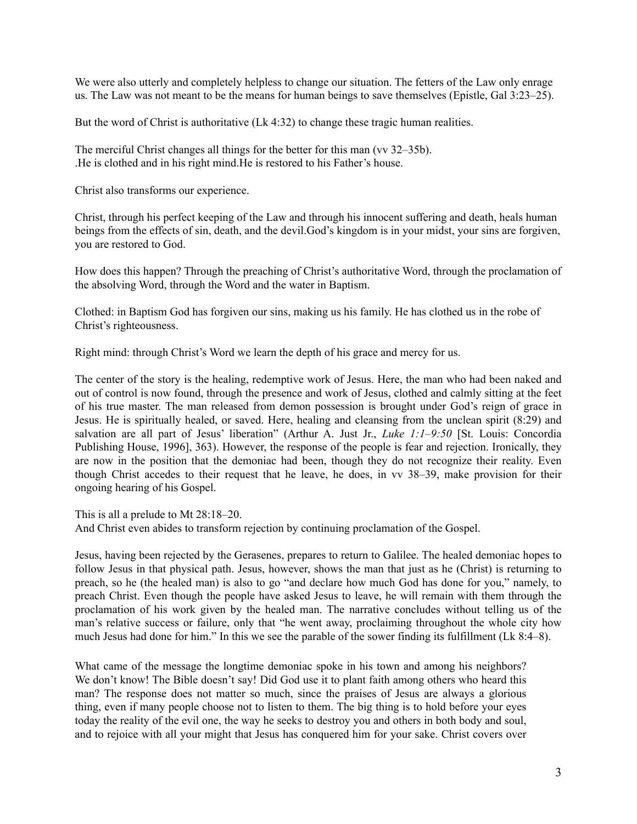We were also utterly and completely helpless to change our situation. The fetters of the Law only enrage us. The Law was not meant to be the means for human beings to save themselves (Epistle, Gal 3:23–25).

But the word of Christ is authoritative (Lk 4:32) to change these tragic human realities.

The merciful Christ changes all things for the better for this man (vv 32–35b). .He is clothed and in his right mind.He is restored to his Father's house.

Christ also transforms our experience.

Christ, through his perfect keeping of the Law and through his innocent suffering and death, heals human beings from the effects of sin, death, and the devil.God's kingdom is in your midst, your sins are forgiven, you are restored to God.

How does this happen? Through the preaching of Christ's authoritative Word, through the proclamation of the absolving Word, through the Word and the water in Baptism.

Clothed: in Baptism God has forgiven our sins, making us his family. He has clothed us in the robe of Christ's righteousness.

Right mind: through Christ's Word we learn the depth of his grace and mercy for us.

The center of the story is the healing, redemptive work of Jesus. Here, the man who had been naked and out of control is now found, through the presence and work of Jesus, clothed and calmly sitting at the feet of his true master. The man released from demon possession is brought under God's reign of grace in Jesus. He is spiritually healed, or saved. Here, healing and cleansing from the unclean spirit (8:29) and salvation are all part of Jesus' liberation" (Arthur A. Just Jr., *Luke 1:1–9:50* [St. Louis: Concordia Publishing House, 1996], 363). However, the response of the people is fear and rejection. Ironically, they are now in the position that the demoniac had been, though they do not recognize their reality. Even though Christ accedes to their request that he leave, he does, in vv 38–39, make provision for their ongoing hearing of his Gospel.

This is all a prelude to Mt 28:18–20.

And Christ even abides to transform rejection by continuing proclamation of the Gospel.

Jesus, having been rejected by the Gerasenes, prepares to return to Galilee. The healed demoniac hopes to follow Jesus in that physical path. Jesus, however, shows the man that just as he (Christ) is returning to preach, so he (the healed man) is also to go "and declare how much God has done for you," namely, to preach Christ. Even though the people have asked Jesus to leave, he will remain with them through the proclamation of his work given by the healed man. The narrative concludes without telling us of the man's relative success or failure, only that "he went away, proclaiming throughout the whole city how much Jesus had done for him." In this we see the parable of the sower finding its fulfillment (Lk 8:4–8).

What came of the message the longtime demoniac spoke in his town and among his neighbors? We don't know! The Bible doesn't say! Did God use it to plant faith among others who heard this man? The response does not matter so much, since the praises of Jesus are always a glorious thing, even if many people choose not to listen to them. The big thing is to hold before your eyes today the reality of the evil one, the way he seeks to destroy you and others in both body and soul, and to rejoice with all your might that Jesus has conquered him for your sake. Christ covers over